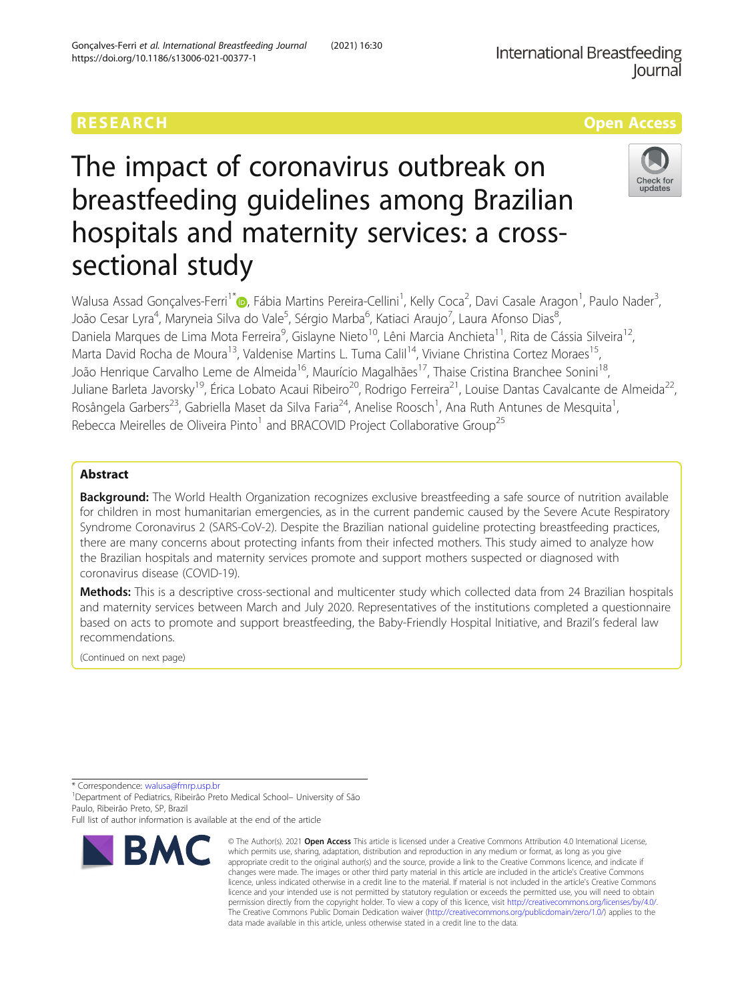# The impact of coronavirus outbreak on breastfeeding guidelines among Brazilian hospitals and maternity services: a crosssectional study



Walusa Assad Gonçalves-Ferri<sup>1\*</sup>®, Fábia Martins Pereira-Cellini<sup>1</sup>, Kelly Coca<sup>2</sup>, Davi Casale Aragon<sup>1</sup>, Paulo Nader<sup>3</sup> , João Cesar Lyra<sup>4</sup>, Maryneia Silva do Vale<sup>5</sup>, Sérgio Marba<sup>6</sup>, Katiaci Araujo<sup>7</sup>, Laura Afonso Dias<sup>8</sup> , Daniela Marques de Lima Mota Ferreira<sup>9</sup>, Gislayne Nieto<sup>10</sup>, Lêni Marcia Anchieta<sup>11</sup>, Rita de Cássia Silveira<sup>12</sup>, Marta David Rocha de Moura<sup>13</sup>, Valdenise Martins L. Tuma Calil<sup>14</sup>, Viviane Christina Cortez Moraes<sup>15</sup>, João Henrique Carvalho Leme de Almeida<sup>16</sup>, Maurício Magalhães<sup>17</sup>, Thaise Cristina Branchee Sonini<sup>18</sup>, Juliane Barleta Javorsky<sup>19</sup>, Érica Lobato Acaui Ribeiro<sup>20</sup>, Rodrigo Ferreira<sup>21</sup>, Louise Dantas Cavalcante de Almeida<sup>22</sup>, Rosângela Garbers<sup>23</sup>, Gabriella Maset da Silva Faria<sup>24</sup>, Anelise Roosch<sup>1</sup>, Ana Ruth Antunes de Mesquita<sup>1</sup> , Rebecca Meirelles de Oliveira Pinto<sup>1</sup> and BRACOVID Project Collaborative Group<sup>25</sup>

# Abstract

Background: The World Health Organization recognizes exclusive breastfeeding a safe source of nutrition available for children in most humanitarian emergencies, as in the current pandemic caused by the Severe Acute Respiratory Syndrome Coronavirus 2 (SARS-CoV-2). Despite the Brazilian national guideline protecting breastfeeding practices, there are many concerns about protecting infants from their infected mothers. This study aimed to analyze how the Brazilian hospitals and maternity services promote and support mothers suspected or diagnosed with coronavirus disease (COVID-19).

Methods: This is a descriptive cross-sectional and multicenter study which collected data from 24 Brazilian hospitals and maternity services between March and July 2020. Representatives of the institutions completed a questionnaire based on acts to promote and support breastfeeding, the Baby-Friendly Hospital Initiative, and Brazil's federal law recommendations.

(Continued on next page)

\* Correspondence: [walusa@fmrp.usp.br](mailto:walusa@fmrp.usp.br) <sup>1</sup>

<sup>1</sup> Department of Pediatrics, Ribeirão Preto Medical School– University of São Paulo, Ribeirão Preto, SP, Brazil

Full list of author information is available at the end of the article



<sup>©</sup> The Author(s), 2021 **Open Access** This article is licensed under a Creative Commons Attribution 4.0 International License, which permits use, sharing, adaptation, distribution and reproduction in any medium or format, as long as you give appropriate credit to the original author(s) and the source, provide a link to the Creative Commons licence, and indicate if changes were made. The images or other third party material in this article are included in the article's Creative Commons licence, unless indicated otherwise in a credit line to the material. If material is not included in the article's Creative Commons licence and your intended use is not permitted by statutory regulation or exceeds the permitted use, you will need to obtain permission directly from the copyright holder. To view a copy of this licence, visit [http://creativecommons.org/licenses/by/4.0/.](http://creativecommons.org/licenses/by/4.0/) The Creative Commons Public Domain Dedication waiver [\(http://creativecommons.org/publicdomain/zero/1.0/](http://creativecommons.org/publicdomain/zero/1.0/)) applies to the data made available in this article, unless otherwise stated in a credit line to the data.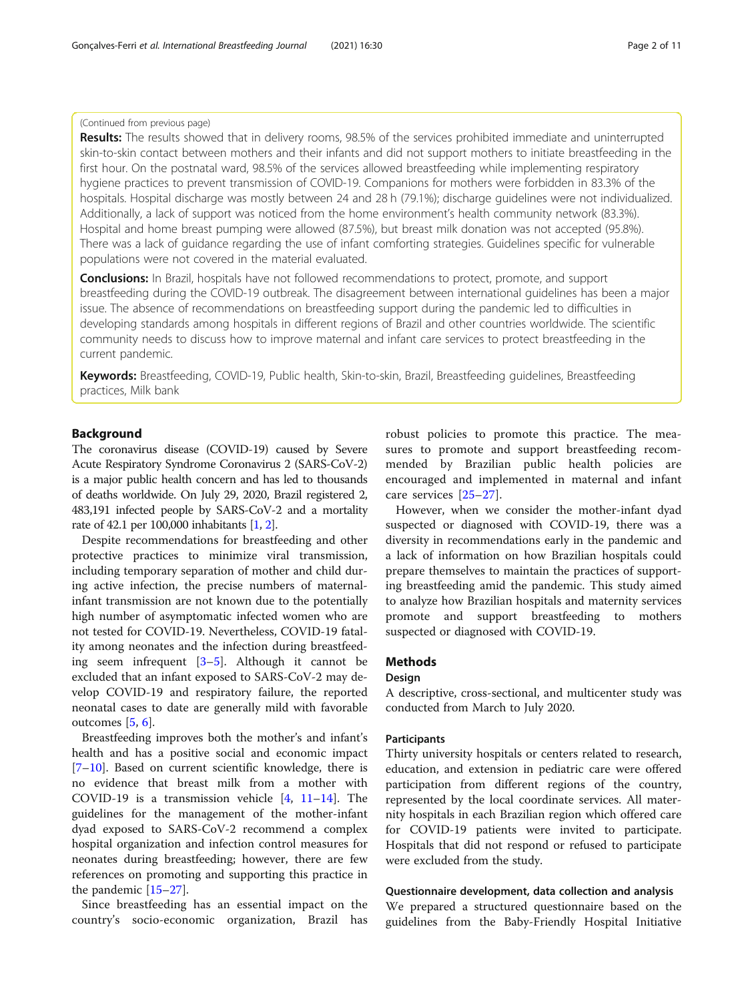#### (Continued from previous page)

Results: The results showed that in delivery rooms, 98.5% of the services prohibited immediate and uninterrupted skin-to-skin contact between mothers and their infants and did not support mothers to initiate breastfeeding in the first hour. On the postnatal ward, 98.5% of the services allowed breastfeeding while implementing respiratory hygiene practices to prevent transmission of COVID-19. Companions for mothers were forbidden in 83.3% of the hospitals. Hospital discharge was mostly between 24 and 28 h (79.1%); discharge guidelines were not individualized. Additionally, a lack of support was noticed from the home environment's health community network (83.3%). Hospital and home breast pumping were allowed (87.5%), but breast milk donation was not accepted (95.8%). There was a lack of guidance regarding the use of infant comforting strategies. Guidelines specific for vulnerable populations were not covered in the material evaluated.

Conclusions: In Brazil, hospitals have not followed recommendations to protect, promote, and support breastfeeding during the COVID-19 outbreak. The disagreement between international guidelines has been a major issue. The absence of recommendations on breastfeeding support during the pandemic led to difficulties in developing standards among hospitals in different regions of Brazil and other countries worldwide. The scientific community needs to discuss how to improve maternal and infant care services to protect breastfeeding in the current pandemic.

Keywords: Breastfeeding, COVID-19, Public health, Skin-to-skin, Brazil, Breastfeeding guidelines, Breastfeeding practices, Milk bank

#### Background

The coronavirus disease (COVID-19) caused by Severe Acute Respiratory Syndrome Coronavirus 2 (SARS-CoV-2) is a major public health concern and has led to thousands of deaths worldwide. On July 29, 2020, Brazil registered 2, 483,191 infected people by SARS-CoV-2 and a mortality rate of 42.1 per 100,000 inhabitants [\[1](#page-9-0), [2](#page-9-0)].

Despite recommendations for breastfeeding and other protective practices to minimize viral transmission, including temporary separation of mother and child during active infection, the precise numbers of maternalinfant transmission are not known due to the potentially high number of asymptomatic infected women who are not tested for COVID-19. Nevertheless, COVID-19 fatality among neonates and the infection during breastfeeding seem infrequent [\[3](#page-9-0)–[5\]](#page-9-0). Although it cannot be excluded that an infant exposed to SARS-CoV-2 may develop COVID-19 and respiratory failure, the reported neonatal cases to date are generally mild with favorable outcomes [\[5](#page-9-0), [6](#page-9-0)].

Breastfeeding improves both the mother's and infant's health and has a positive social and economic impact [[7](#page-9-0)–[10\]](#page-9-0). Based on current scientific knowledge, there is no evidence that breast milk from a mother with COVID-19 is a transmission vehicle  $[4, 11-14]$  $[4, 11-14]$  $[4, 11-14]$  $[4, 11-14]$  $[4, 11-14]$  $[4, 11-14]$  $[4, 11-14]$ . The guidelines for the management of the mother-infant dyad exposed to SARS-CoV-2 recommend a complex hospital organization and infection control measures for neonates during breastfeeding; however, there are few references on promoting and supporting this practice in the pandemic [\[15](#page-9-0)–[27\]](#page-10-0).

Since breastfeeding has an essential impact on the country's socio-economic organization, Brazil has robust policies to promote this practice. The measures to promote and support breastfeeding recommended by Brazilian public health policies are encouraged and implemented in maternal and infant care services [\[25](#page-9-0)–[27](#page-10-0)].

However, when we consider the mother-infant dyad suspected or diagnosed with COVID-19, there was a diversity in recommendations early in the pandemic and a lack of information on how Brazilian hospitals could prepare themselves to maintain the practices of supporting breastfeeding amid the pandemic. This study aimed to analyze how Brazilian hospitals and maternity services promote and support breastfeeding to mothers suspected or diagnosed with COVID-19.

#### **Methods**

### Design

A descriptive, cross-sectional, and multicenter study was conducted from March to July 2020.

#### Participants

Thirty university hospitals or centers related to research, education, and extension in pediatric care were offered participation from different regions of the country, represented by the local coordinate services. All maternity hospitals in each Brazilian region which offered care for COVID-19 patients were invited to participate. Hospitals that did not respond or refused to participate were excluded from the study.

#### Questionnaire development, data collection and analysis

We prepared a structured questionnaire based on the guidelines from the Baby-Friendly Hospital Initiative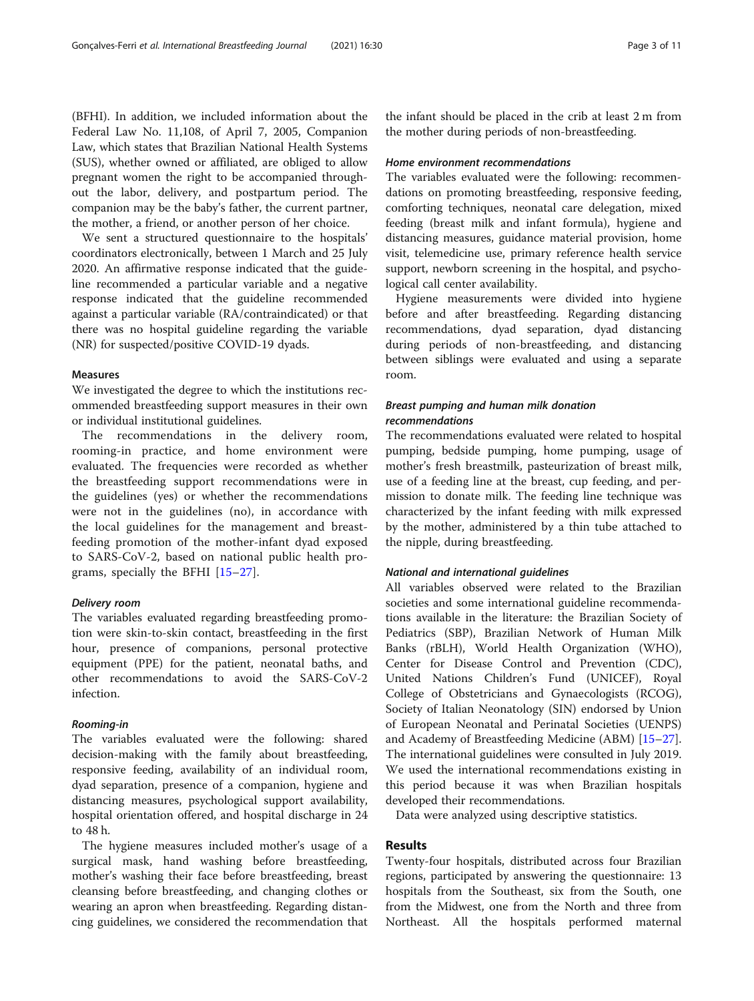(BFHI). In addition, we included information about the Federal Law No. 11,108, of April 7, 2005, Companion Law, which states that Brazilian National Health Systems (SUS), whether owned or affiliated, are obliged to allow pregnant women the right to be accompanied throughout the labor, delivery, and postpartum period. The companion may be the baby's father, the current partner, the mother, a friend, or another person of her choice.

We sent a structured questionnaire to the hospitals' coordinators electronically, between 1 March and 25 July 2020. An affirmative response indicated that the guideline recommended a particular variable and a negative response indicated that the guideline recommended against a particular variable (RA/contraindicated) or that there was no hospital guideline regarding the variable (NR) for suspected/positive COVID-19 dyads.

#### Measures

We investigated the degree to which the institutions recommended breastfeeding support measures in their own or individual institutional guidelines.

The recommendations in the delivery room, rooming-in practice, and home environment were evaluated. The frequencies were recorded as whether the breastfeeding support recommendations were in the guidelines (yes) or whether the recommendations were not in the guidelines (no), in accordance with the local guidelines for the management and breastfeeding promotion of the mother-infant dyad exposed to SARS-CoV-2, based on national public health programs, specially the BFHI [\[15](#page-9-0)–[27](#page-10-0)].

#### Delivery room

The variables evaluated regarding breastfeeding promotion were skin-to-skin contact, breastfeeding in the first hour, presence of companions, personal protective equipment (PPE) for the patient, neonatal baths, and other recommendations to avoid the SARS-CoV-2 infection.

#### Rooming-in

The variables evaluated were the following: shared decision-making with the family about breastfeeding, responsive feeding, availability of an individual room, dyad separation, presence of a companion, hygiene and distancing measures, psychological support availability, hospital orientation offered, and hospital discharge in 24 to 48 h.

The hygiene measures included mother's usage of a surgical mask, hand washing before breastfeeding, mother's washing their face before breastfeeding, breast cleansing before breastfeeding, and changing clothes or wearing an apron when breastfeeding. Regarding distancing guidelines, we considered the recommendation that

the infant should be placed in the crib at least 2 m from the mother during periods of non-breastfeeding.

#### Home environment recommendations

The variables evaluated were the following: recommendations on promoting breastfeeding, responsive feeding, comforting techniques, neonatal care delegation, mixed feeding (breast milk and infant formula), hygiene and distancing measures, guidance material provision, home visit, telemedicine use, primary reference health service support, newborn screening in the hospital, and psychological call center availability.

Hygiene measurements were divided into hygiene before and after breastfeeding. Regarding distancing recommendations, dyad separation, dyad distancing during periods of non-breastfeeding, and distancing between siblings were evaluated and using a separate room.

#### Breast pumping and human milk donation recommendations

The recommendations evaluated were related to hospital pumping, bedside pumping, home pumping, usage of mother's fresh breastmilk, pasteurization of breast milk, use of a feeding line at the breast, cup feeding, and permission to donate milk. The feeding line technique was characterized by the infant feeding with milk expressed by the mother, administered by a thin tube attached to the nipple, during breastfeeding.

#### National and international guidelines

All variables observed were related to the Brazilian societies and some international guideline recommendations available in the literature: the Brazilian Society of Pediatrics (SBP), Brazilian Network of Human Milk Banks (rBLH), World Health Organization (WHO), Center for Disease Control and Prevention (CDC), United Nations Children's Fund (UNICEF), Royal College of Obstetricians and Gynaecologists (RCOG), Society of Italian Neonatology (SIN) endorsed by Union of European Neonatal and Perinatal Societies (UENPS) and Academy of Breastfeeding Medicine (ABM) [[15](#page-9-0)–[27](#page-10-0)]. The international guidelines were consulted in July 2019. We used the international recommendations existing in this period because it was when Brazilian hospitals developed their recommendations.

Data were analyzed using descriptive statistics.

#### Results

Twenty-four hospitals, distributed across four Brazilian regions, participated by answering the questionnaire: 13 hospitals from the Southeast, six from the South, one from the Midwest, one from the North and three from Northeast. All the hospitals performed maternal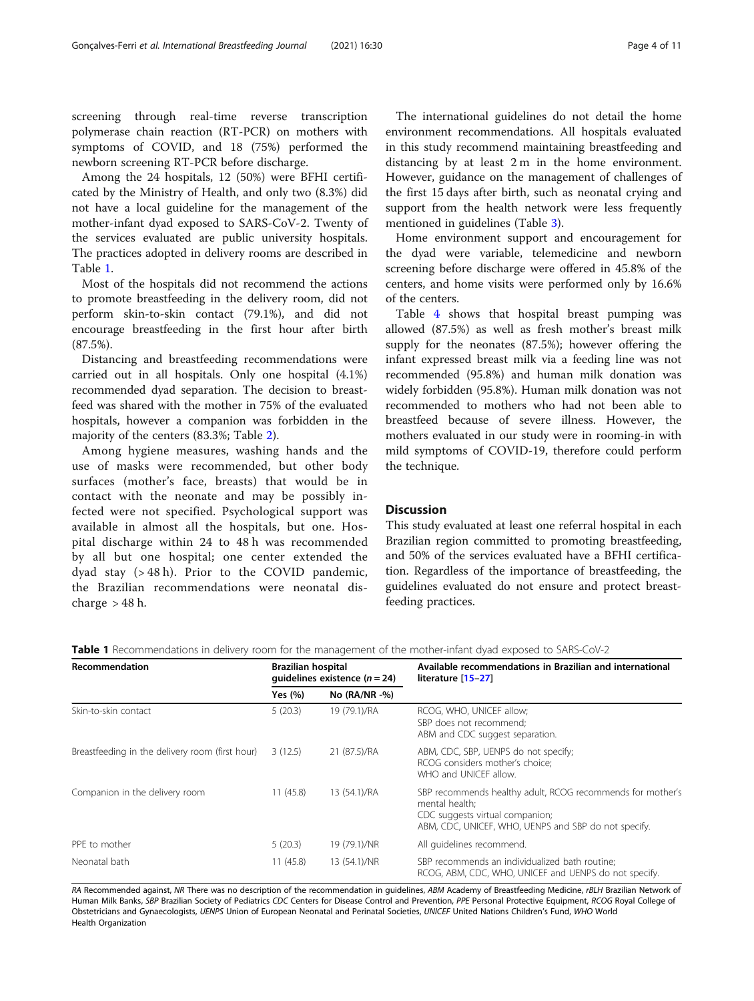screening through real-time reverse transcription polymerase chain reaction (RT-PCR) on mothers with symptoms of COVID, and 18 (75%) performed the newborn screening RT-PCR before discharge.

Among the 24 hospitals, 12 (50%) were BFHI certificated by the Ministry of Health, and only two (8.3%) did not have a local guideline for the management of the mother-infant dyad exposed to SARS-CoV-2. Twenty of the services evaluated are public university hospitals. The practices adopted in delivery rooms are described in Table 1.

Most of the hospitals did not recommend the actions to promote breastfeeding in the delivery room, did not perform skin-to-skin contact (79.1%), and did not encourage breastfeeding in the first hour after birth (87.5%).

Distancing and breastfeeding recommendations were carried out in all hospitals. Only one hospital (4.1%) recommended dyad separation. The decision to breastfeed was shared with the mother in 75% of the evaluated hospitals, however a companion was forbidden in the majority of the centers (83.3%; Table [2](#page-4-0)).

Among hygiene measures, washing hands and the use of masks were recommended, but other body surfaces (mother's face, breasts) that would be in contact with the neonate and may be possibly infected were not specified. Psychological support was available in almost all the hospitals, but one. Hospital discharge within 24 to 48 h was recommended by all but one hospital; one center extended the dyad stay (> 48 h). Prior to the COVID pandemic, the Brazilian recommendations were neonatal discharge  $> 48$  h.

The international guidelines do not detail the home environment recommendations. All hospitals evaluated in this study recommend maintaining breastfeeding and distancing by at least 2 m in the home environment. However, guidance on the management of challenges of the first 15 days after birth, such as neonatal crying and support from the health network were less frequently mentioned in guidelines (Table [3](#page-5-0)).

Home environment support and encouragement for the dyad were variable, telemedicine and newborn screening before discharge were offered in 45.8% of the centers, and home visits were performed only by 16.6% of the centers.

Table [4](#page-6-0) shows that hospital breast pumping was allowed (87.5%) as well as fresh mother's breast milk supply for the neonates (87.5%); however offering the infant expressed breast milk via a feeding line was not recommended (95.8%) and human milk donation was widely forbidden (95.8%). Human milk donation was not recommended to mothers who had not been able to breastfeed because of severe illness. However, the mothers evaluated in our study were in rooming-in with mild symptoms of COVID-19, therefore could perform the technique.

#### **Discussion**

This study evaluated at least one referral hospital in each Brazilian region committed to promoting breastfeeding, and 50% of the services evaluated have a BFHI certification. Regardless of the importance of breastfeeding, the guidelines evaluated do not ensure and protect breastfeeding practices.

Table 1 Recommendations in delivery room for the management of the mother-infant dyad exposed to SARS-CoV-2

| Recommendation                                  | <b>Brazilian hospital</b><br>quidelines existence $(n = 24)$ |                  | Available recommendations in Brazilian and international<br>literature [15-27]                                                                                          |
|-------------------------------------------------|--------------------------------------------------------------|------------------|-------------------------------------------------------------------------------------------------------------------------------------------------------------------------|
|                                                 | Yes $(% )$                                                   | No $(RA/NR - %)$ |                                                                                                                                                                         |
| Skin-to-skin contact                            | 5(20.3)                                                      | 19 (79.1)/RA     | RCOG, WHO, UNICEF allow;<br>SBP does not recommend;<br>ABM and CDC suggest separation.                                                                                  |
| Breastfeeding in the delivery room (first hour) | 3(12.5)                                                      | 21 (87.5)/RA     | ABM, CDC, SBP, UENPS do not specify;<br>RCOG considers mother's choice:<br>WHO and UNICFF allow.                                                                        |
| Companion in the delivery room                  | 11(45.8)                                                     | 13 (54.1)/RA     | SBP recommends healthy adult, RCOG recommends for mother's<br>mental health;<br>CDC suggests virtual companion;<br>ABM, CDC, UNICEF, WHO, UENPS and SBP do not specify. |
| PPE to mother                                   | 5(20.3)                                                      | 19 (79.1)/NR     | All quidelines recommend.                                                                                                                                               |
| Neonatal bath                                   | 11(45.8)                                                     | 13 (54.1)/NR     | SBP recommends an individualized bath routine;<br>RCOG, ABM, CDC, WHO, UNICEF and UENPS do not specify.                                                                 |

RA Recommended against, NR There was no description of the recommendation in guidelines, ABM Academy of Breastfeeding Medicine, rBLH Brazilian Network of Human Milk Banks, SBP Brazilian Society of Pediatrics CDC Centers for Disease Control and Prevention, PPE Personal Protective Equipment, RCOG Royal College of Obstetricians and Gynaecologists, UENPS Union of European Neonatal and Perinatal Societies, UNICEF United Nations Children's Fund, WHO World Health Organization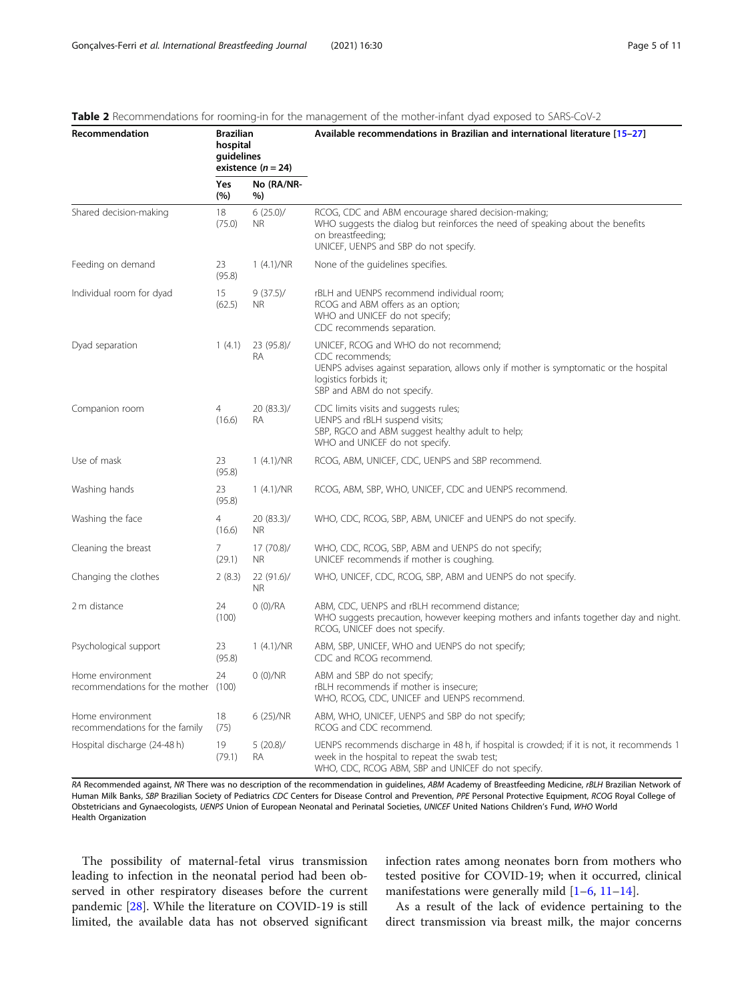| Recommendation                                           | <b>Brazilian</b><br>hospital<br>guidelines<br>existence $(n = 24)$ |                          | Available recommendations in Brazilian and international literature [15-27]                                                                                                                                 |  |
|----------------------------------------------------------|--------------------------------------------------------------------|--------------------------|-------------------------------------------------------------------------------------------------------------------------------------------------------------------------------------------------------------|--|
|                                                          | Yes<br>(%)                                                         | No (RA/NR-<br>%)         |                                                                                                                                                                                                             |  |
| Shared decision-making                                   | 18<br>(75.0)                                                       | 6(25.0)/<br>NR.          | RCOG, CDC and ABM encourage shared decision-making;<br>WHO suggests the dialog but reinforces the need of speaking about the benefits<br>on breastfeeding;<br>UNICEF, UENPS and SBP do not specify.         |  |
| Feeding on demand                                        | 23<br>(95.8)                                                       | 1(4.1)/NR                | None of the quidelines specifies.                                                                                                                                                                           |  |
| Individual room for dyad                                 | 15<br>(62.5)                                                       | $9(37.5)$ /<br><b>NR</b> | rBLH and UENPS recommend individual room;<br>RCOG and ABM offers as an option;<br>WHO and UNICEF do not specify;<br>CDC recommends separation.                                                              |  |
| Dyad separation                                          | 1(4.1)                                                             | 23 (95.8)/<br><b>RA</b>  | UNICEF, RCOG and WHO do not recommend;<br>CDC recommends;<br>UENPS advises against separation, allows only if mother is symptomatic or the hospital<br>logistics forbids it;<br>SBP and ABM do not specify. |  |
| Companion room                                           | $\overline{4}$<br>(16.6)                                           | 20(83.3)/<br><b>RA</b>   | CDC limits visits and suggests rules;<br>UENPS and rBLH suspend visits;<br>SBP, RGCO and ABM suggest healthy adult to help;<br>WHO and UNICEF do not specify.                                               |  |
| Use of mask                                              | 23<br>(95.8)                                                       | 1(4.1)/NR                | RCOG, ABM, UNICEF, CDC, UENPS and SBP recommend.                                                                                                                                                            |  |
| Washing hands                                            | 23<br>(95.8)                                                       | 1(4.1)/NR                | RCOG, ABM, SBP, WHO, UNICEF, CDC and UENPS recommend.                                                                                                                                                       |  |
| Washing the face                                         | $\overline{4}$<br>(16.6)                                           | 20 (83.3)/<br><b>NR</b>  | WHO, CDC, RCOG, SBP, ABM, UNICEF and UENPS do not specify.                                                                                                                                                  |  |
| Cleaning the breast                                      | $\overline{7}$<br>(29.1)                                           | 17(70.8)<br><b>NR</b>    | WHO, CDC, RCOG, SBP, ABM and UENPS do not specify;<br>UNICEF recommends if mother is coughing.                                                                                                              |  |
| Changing the clothes                                     | 2(8.3)                                                             | 22 (91.6)/<br><b>NR</b>  | WHO, UNICEF, CDC, RCOG, SBP, ABM and UENPS do not specify.                                                                                                                                                  |  |
| 2 m distance                                             | 24<br>(100)                                                        | 0 (0)/RA                 | ABM, CDC, UENPS and rBLH recommend distance;<br>WHO suggests precaution, however keeping mothers and infants together day and night.<br>RCOG, UNICEF does not specify.                                      |  |
| Psychological support                                    | 23<br>(95.8)                                                       | 1(4.1)/NR                | ABM, SBP, UNICEF, WHO and UENPS do not specify;<br>CDC and RCOG recommend.                                                                                                                                  |  |
| Home environment<br>recommendations for the mother (100) | 24                                                                 | 0 (0)/NR                 | ABM and SBP do not specify;<br>rBLH recommends if mother is insecure;<br>WHO, RCOG, CDC, UNICEF and UENPS recommend.                                                                                        |  |
| Home environment<br>recommendations for the family       | 18<br>(75)                                                         | 6 (25)/NR                | ABM, WHO, UNICEF, UENPS and SBP do not specify;<br>RCOG and CDC recommend.                                                                                                                                  |  |
| Hospital discharge (24-48 h)                             | 19<br>(79.1)                                                       | $5(20.8)$ /<br><b>RA</b> | UENPS recommends discharge in 48 h, if hospital is crowded; if it is not, it recommends 1<br>week in the hospital to repeat the swab test;<br>WHO, CDC, RCOG ABM, SBP and UNICEF do not specify.            |  |

#### <span id="page-4-0"></span>Table 2 Recommendations for rooming-in for the management of the mother-infant dyad exposed to SARS-CoV-2

RA Recommended against, NR There was no description of the recommendation in guidelines, ABM Academy of Breastfeeding Medicine, rBLH Brazilian Network of Human Milk Banks, SBP Brazilian Society of Pediatrics CDC Centers for Disease Control and Prevention, PPE Personal Protective Equipment, RCOG Royal College of Obstetricians and Gynaecologists, UENPS Union of European Neonatal and Perinatal Societies, UNICEF United Nations Children's Fund, WHO World Health Organization

The possibility of maternal-fetal virus transmission leading to infection in the neonatal period had been observed in other respiratory diseases before the current pandemic [[28\]](#page-10-0). While the literature on COVID-19 is still limited, the available data has not observed significant infection rates among neonates born from mothers who tested positive for COVID-19; when it occurred, clinical manifestations were generally mild [\[1](#page-9-0)–[6,](#page-9-0) [11](#page-9-0)–[14\]](#page-9-0).

As a result of the lack of evidence pertaining to the direct transmission via breast milk, the major concerns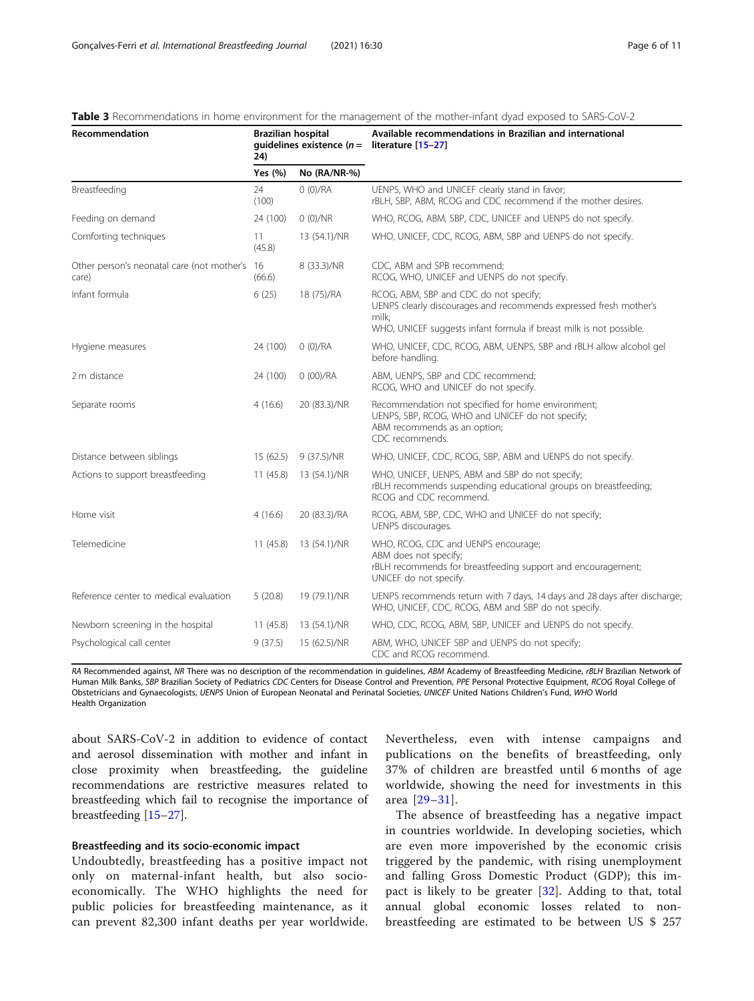| Recommendation                                         | <b>Brazilian hospital</b><br>quidelines existence $(n =$<br>24) |              | Available recommendations in Brazilian and international<br>literature [15-27]                                                                                                              |
|--------------------------------------------------------|-----------------------------------------------------------------|--------------|---------------------------------------------------------------------------------------------------------------------------------------------------------------------------------------------|
|                                                        | Yes (%)                                                         | No (RA/NR-%) |                                                                                                                                                                                             |
| Breastfeeding                                          | 24<br>(100)                                                     | 0(0)/RA      | UENPS, WHO and UNICEF clearly stand in favor;<br>rBLH, SBP, ABM, RCOG and CDC recommend if the mother desires.                                                                              |
| Feeding on demand                                      | 24 (100)                                                        | 0(0)/NR      | WHO, RCOG, ABM, SBP, CDC, UNICEF and UENPS do not specify.                                                                                                                                  |
| Comforting techniques                                  | 11<br>(45.8)                                                    | 13 (54.1)/NR | WHO, UNICEF, CDC, RCOG, ABM, SBP and UENPS do not specify.                                                                                                                                  |
| Other person's neonatal care (not mother's 16<br>care) | (66.6)                                                          | 8 (33.3)/NR  | CDC, ABM and SPB recommend;<br>RCOG, WHO, UNICEF and UENPS do not specify.                                                                                                                  |
| Infant formula                                         | 6(25)                                                           | 18 (75)/RA   | RCOG, ABM, SBP and CDC do not specify;<br>UENPS clearly discourages and recommends expressed fresh mother's<br>milk;<br>WHO, UNICEF suggests infant formula if breast milk is not possible. |
| Hygiene measures                                       | 24 (100)                                                        | 0 (0)/RA     | WHO, UNICEF, CDC, RCOG, ABM, UENPS, SBP and rBLH allow alcohol gel<br>before handling.                                                                                                      |
| 2 m distance                                           | 24 (100)                                                        | 0(00)/RA     | ABM, UENPS, SBP and CDC recommend;<br>RCOG, WHO and UNICEF do not specify.                                                                                                                  |
| Separate rooms                                         | 4(16.6)                                                         | 20 (83.3)/NR | Recommendation not specified for home environment;<br>UENPS, SBP, RCOG, WHO and UNICEF do not specify;<br>ABM recommends as an option;<br>CDC recommends.                                   |
| Distance between siblings                              | 15(62.5)                                                        | 9 (37.5)/NR  | WHO, UNICEF, CDC, RCOG, SBP, ABM and UENPS do not specify.                                                                                                                                  |
| Actions to support breastfeeding                       | 11(45.8)                                                        | 13 (54.1)/NR | WHO, UNICEF, UENPS, ABM and SBP do not specify;<br>rBLH recommends suspending educational groups on breastfeeding;<br>RCOG and CDC recommend.                                               |
| Home visit                                             | 4(16.6)                                                         | 20 (83.3)/RA | RCOG, ABM, SBP, CDC, WHO and UNICEF do not specify;<br>UENPS discourages.                                                                                                                   |
| Telemedicine                                           | 11(45.8)                                                        | 13 (54.1)/NR | WHO, RCOG, CDC and UENPS encourage;<br>ABM does not specify;<br>rBLH recommends for breastfeeding support and encouragement;<br>UNICEF do not specify.                                      |
| Reference center to medical evaluation                 | 5(20.8)                                                         | 19 (79.1)/NR | UENPS recommends return with 7 days, 14 days and 28 days after discharge;<br>WHO, UNICEF, CDC, RCOG, ABM and SBP do not specify.                                                            |
| Newborn screening in the hospital                      | 11(45.8)                                                        | 13 (54.1)/NR | WHO, CDC, RCOG, ABM, SBP, UNICEF and UENPS do not specify.                                                                                                                                  |
| Psychological call center                              | 9(37.5)                                                         | 15 (62.5)/NR | ABM, WHO, UNICEF SBP and UENPS do not specify;<br>CDC and RCOG recommend.                                                                                                                   |

#### <span id="page-5-0"></span>Table 3 Recommendations in home environment for the management of the mother-infant dyad exposed to SARS-CoV-2

RA Recommended against, NR There was no description of the recommendation in guidelines, ABM Academy of Breastfeeding Medicine, rBLH Brazilian Network of Human Milk Banks, SBP Brazilian Society of Pediatrics CDC Centers for Disease Control and Prevention, PPE Personal Protective Equipment, RCOG Royal College of Obstetricians and Gynaecologists, UENPS Union of European Neonatal and Perinatal Societies, UNICEF United Nations Children's Fund, WHO World Health Organization

about SARS-CoV-2 in addition to evidence of contact and aerosol dissemination with mother and infant in close proximity when breastfeeding, the guideline recommendations are restrictive measures related to breastfeeding which fail to recognise the importance of breastfeeding [[15](#page-9-0)–[27](#page-10-0)].

#### Breastfeeding and its socio-economic impact

Undoubtedly, breastfeeding has a positive impact not only on maternal-infant health, but also socioeconomically. The WHO highlights the need for public policies for breastfeeding maintenance, as it can prevent 82,300 infant deaths per year worldwide. Nevertheless, even with intense campaigns and publications on the benefits of breastfeeding, only 37% of children are breastfed until 6 months of age worldwide, showing the need for investments in this area [[29](#page-10-0)–[31](#page-10-0)].

The absence of breastfeeding has a negative impact in countries worldwide. In developing societies, which are even more impoverished by the economic crisis triggered by the pandemic, with rising unemployment and falling Gross Domestic Product (GDP); this impact is likely to be greater [\[32](#page-10-0)]. Adding to that, total annual global economic losses related to nonbreastfeeding are estimated to be between US \$ 257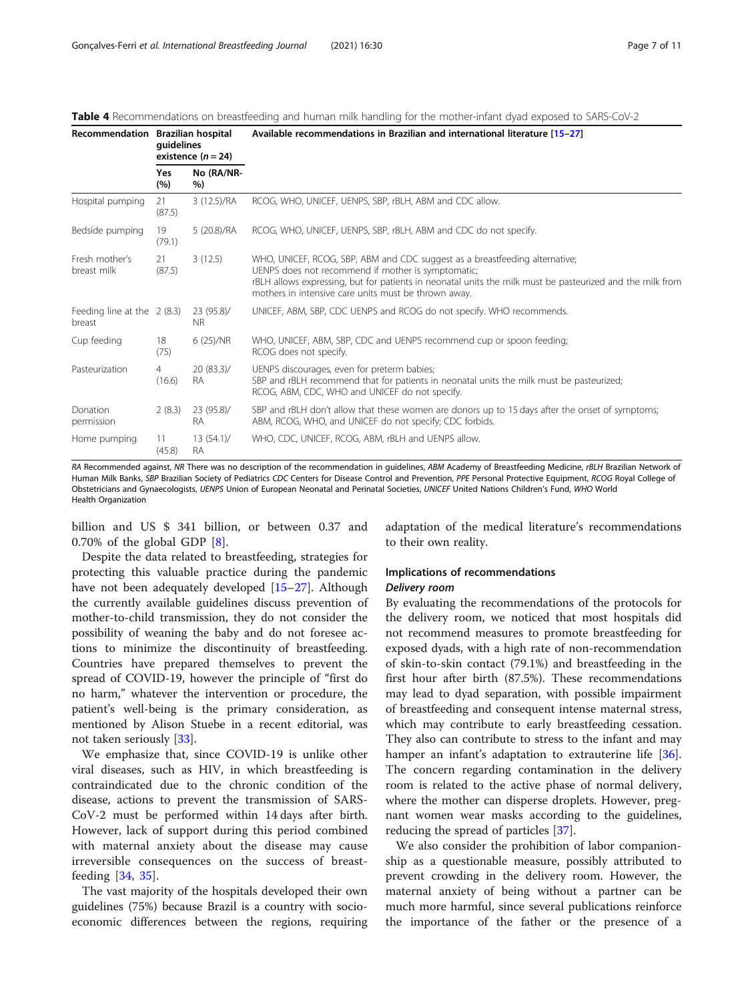| Recommendation Brazilian hospital      | guidelines<br>existence $(n = 24)$ |                         | Available recommendations in Brazilian and international literature [15-27]                                                                                                                                                                                                                            |  |  |
|----------------------------------------|------------------------------------|-------------------------|--------------------------------------------------------------------------------------------------------------------------------------------------------------------------------------------------------------------------------------------------------------------------------------------------------|--|--|
|                                        | Yes<br>(%)                         | No (RA/NR-<br>%)        |                                                                                                                                                                                                                                                                                                        |  |  |
| Hospital pumping                       | 21<br>(87.5)                       | 3 (12.5)/RA             | RCOG, WHO, UNICEF, UENPS, SBP, rBLH, ABM and CDC allow.                                                                                                                                                                                                                                                |  |  |
| Bedside pumping                        | 19<br>(79.1)                       | 5 (20.8)/RA             | RCOG, WHO, UNICEF, UENPS, SBP, rBLH, ABM and CDC do not specify.                                                                                                                                                                                                                                       |  |  |
| Fresh mother's<br>breast milk          | 21<br>(87.5)                       | 3(12.5)                 | WHO, UNICEF, RCOG, SBP, ABM and CDC suggest as a breastfeeding alternative;<br>UENPS does not recommend if mother is symptomatic;<br>rBLH allows expressing, but for patients in neonatal units the milk must be pasteurized and the milk from<br>mothers in intensive care units must be thrown away. |  |  |
| Feeding line at the $2(8.3)$<br>breast |                                    | 23 (95.8)/<br><b>NR</b> | UNICEF, ABM, SBP, CDC UENPS and RCOG do not specify. WHO recommends.                                                                                                                                                                                                                                   |  |  |
| Cup feeding                            | 18<br>(75)                         | 6 (25)/NR               | WHO, UNICEF, ABM, SBP, CDC and UENPS recommend cup or spoon feeding;<br>RCOG does not specify.                                                                                                                                                                                                         |  |  |
| Pasteurization                         | $\overline{4}$<br>(16.6)           | 20(83.3)/<br><b>RA</b>  | UENPS discourages, even for preterm babies;<br>SBP and rBLH recommend that for patients in neonatal units the milk must be pasteurized;<br>RCOG, ABM, CDC, WHO and UNICEF do not specify.                                                                                                              |  |  |
| Donation<br>permission                 | 2(8.3)                             | 23 (95.8)/<br><b>RA</b> | SBP and rBLH don't allow that these women are donors up to 15 days after the onset of symptoms;<br>ABM, RCOG, WHO, and UNICEF do not specify; CDC forbids.                                                                                                                                             |  |  |
| Home pumping                           | 11<br>(45.8)                       | $13(54.1)$ /<br>RA      | WHO, CDC, UNICEF, RCOG, ABM, rBLH and UENPS allow.                                                                                                                                                                                                                                                     |  |  |

<span id="page-6-0"></span>Table 4 Recommendations on breastfeeding and human milk handling for the mother-infant dyad exposed to SARS-CoV-2

RA Recommended against, NR There was no description of the recommendation in quidelines, ABM Academy of Breastfeeding Medicine, rBLH Brazilian Network of Human Milk Banks, SBP Brazilian Society of Pediatrics CDC Centers for Disease Control and Prevention, PPE Personal Protective Equipment, RCOG Royal College of Obstetricians and Gynaecologists, UENPS Union of European Neonatal and Perinatal Societies, UNICEF United Nations Children's Fund, WHO World Health Organization

billion and US \$ 341 billion, or between 0.37 and 0.70% of the global GDP [\[8](#page-9-0)].

Despite the data related to breastfeeding, strategies for protecting this valuable practice during the pandemic have not been adequately developed [\[15](#page-9-0)–[27\]](#page-10-0). Although the currently available guidelines discuss prevention of mother-to-child transmission, they do not consider the possibility of weaning the baby and do not foresee actions to minimize the discontinuity of breastfeeding. Countries have prepared themselves to prevent the spread of COVID-19, however the principle of "first do no harm," whatever the intervention or procedure, the patient's well-being is the primary consideration, as mentioned by Alison Stuebe in a recent editorial, was not taken seriously [\[33](#page-10-0)].

We emphasize that, since COVID-19 is unlike other viral diseases, such as HIV, in which breastfeeding is contraindicated due to the chronic condition of the disease, actions to prevent the transmission of SARS-CoV-2 must be performed within 14 days after birth. However, lack of support during this period combined with maternal anxiety about the disease may cause irreversible consequences on the success of breastfeeding [[34](#page-10-0), [35](#page-10-0)].

The vast majority of the hospitals developed their own guidelines (75%) because Brazil is a country with socioeconomic differences between the regions, requiring adaptation of the medical literature's recommendations to their own reality.

# Implications of recommendations

## Delivery room

By evaluating the recommendations of the protocols for the delivery room, we noticed that most hospitals did not recommend measures to promote breastfeeding for exposed dyads, with a high rate of non-recommendation of skin-to-skin contact (79.1%) and breastfeeding in the first hour after birth (87.5%). These recommendations may lead to dyad separation, with possible impairment of breastfeeding and consequent intense maternal stress, which may contribute to early breastfeeding cessation. They also can contribute to stress to the infant and may hamper an infant's adaptation to extrauterine life [\[36](#page-10-0)]. The concern regarding contamination in the delivery room is related to the active phase of normal delivery, where the mother can disperse droplets. However, pregnant women wear masks according to the guidelines, reducing the spread of particles [[37\]](#page-10-0).

We also consider the prohibition of labor companionship as a questionable measure, possibly attributed to prevent crowding in the delivery room. However, the maternal anxiety of being without a partner can be much more harmful, since several publications reinforce the importance of the father or the presence of a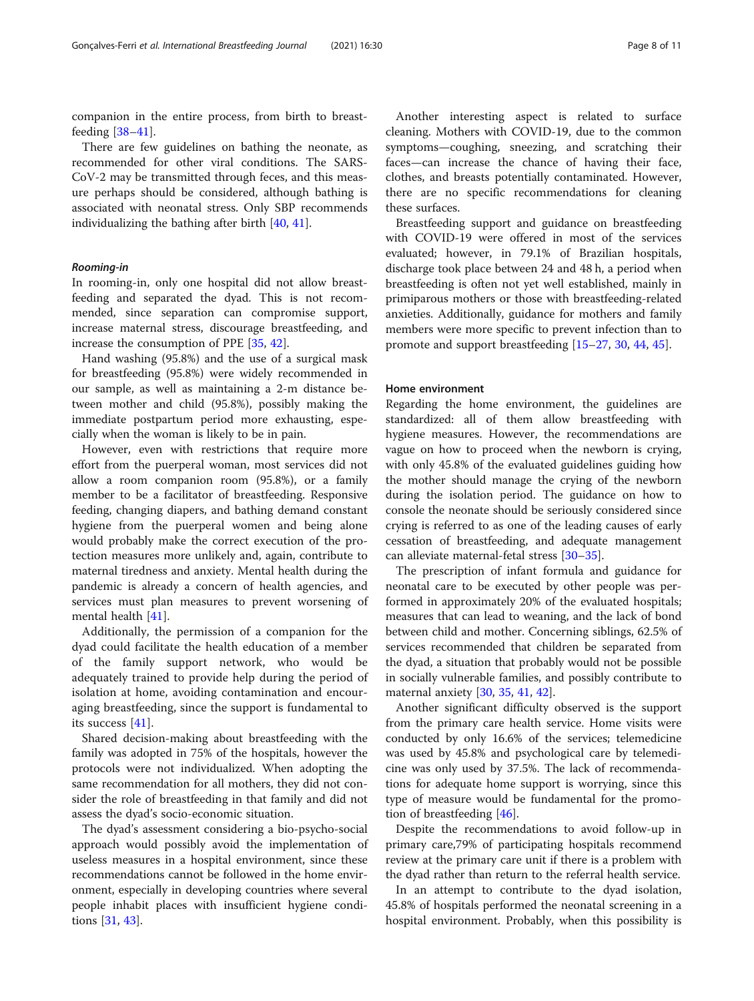companion in the entire process, from birth to breastfeeding [\[38](#page-10-0)–[41\]](#page-10-0).

There are few guidelines on bathing the neonate, as recommended for other viral conditions. The SARS-CoV-2 may be transmitted through feces, and this measure perhaps should be considered, although bathing is associated with neonatal stress. Only SBP recommends individualizing the bathing after birth [\[40](#page-10-0), [41](#page-10-0)].

#### Rooming-in

In rooming-in, only one hospital did not allow breastfeeding and separated the dyad. This is not recommended, since separation can compromise support, increase maternal stress, discourage breastfeeding, and increase the consumption of PPE [[35,](#page-10-0) [42](#page-10-0)].

Hand washing (95.8%) and the use of a surgical mask for breastfeeding (95.8%) were widely recommended in our sample, as well as maintaining a 2-m distance between mother and child (95.8%), possibly making the immediate postpartum period more exhausting, especially when the woman is likely to be in pain.

However, even with restrictions that require more effort from the puerperal woman, most services did not allow a room companion room (95.8%), or a family member to be a facilitator of breastfeeding. Responsive feeding, changing diapers, and bathing demand constant hygiene from the puerperal women and being alone would probably make the correct execution of the protection measures more unlikely and, again, contribute to maternal tiredness and anxiety. Mental health during the pandemic is already a concern of health agencies, and services must plan measures to prevent worsening of mental health [[41\]](#page-10-0).

Additionally, the permission of a companion for the dyad could facilitate the health education of a member of the family support network, who would be adequately trained to provide help during the period of isolation at home, avoiding contamination and encouraging breastfeeding, since the support is fundamental to its success [[41](#page-10-0)].

Shared decision-making about breastfeeding with the family was adopted in 75% of the hospitals, however the protocols were not individualized. When adopting the same recommendation for all mothers, they did not consider the role of breastfeeding in that family and did not assess the dyad's socio-economic situation.

The dyad's assessment considering a bio-psycho-social approach would possibly avoid the implementation of useless measures in a hospital environment, since these recommendations cannot be followed in the home environment, especially in developing countries where several people inhabit places with insufficient hygiene conditions [[31,](#page-10-0) [43\]](#page-10-0).

Another interesting aspect is related to surface cleaning. Mothers with COVID-19, due to the common symptoms—coughing, sneezing, and scratching their faces—can increase the chance of having their face, clothes, and breasts potentially contaminated. However, there are no specific recommendations for cleaning these surfaces.

Breastfeeding support and guidance on breastfeeding with COVID-19 were offered in most of the services evaluated; however, in 79.1% of Brazilian hospitals, discharge took place between 24 and 48 h, a period when breastfeeding is often not yet well established, mainly in primiparous mothers or those with breastfeeding-related anxieties. Additionally, guidance for mothers and family members were more specific to prevent infection than to promote and support breastfeeding [\[15](#page-9-0)–[27,](#page-10-0) [30,](#page-10-0) [44,](#page-10-0) [45](#page-10-0)].

#### Home environment

Regarding the home environment, the guidelines are standardized: all of them allow breastfeeding with hygiene measures. However, the recommendations are vague on how to proceed when the newborn is crying, with only 45.8% of the evaluated guidelines guiding how the mother should manage the crying of the newborn during the isolation period. The guidance on how to console the neonate should be seriously considered since crying is referred to as one of the leading causes of early cessation of breastfeeding, and adequate management can alleviate maternal-fetal stress [[30](#page-10-0)–[35](#page-10-0)].

The prescription of infant formula and guidance for neonatal care to be executed by other people was performed in approximately 20% of the evaluated hospitals; measures that can lead to weaning, and the lack of bond between child and mother. Concerning siblings, 62.5% of services recommended that children be separated from the dyad, a situation that probably would not be possible in socially vulnerable families, and possibly contribute to maternal anxiety [\[30,](#page-10-0) [35,](#page-10-0) [41,](#page-10-0) [42\]](#page-10-0).

Another significant difficulty observed is the support from the primary care health service. Home visits were conducted by only 16.6% of the services; telemedicine was used by 45.8% and psychological care by telemedicine was only used by 37.5%. The lack of recommendations for adequate home support is worrying, since this type of measure would be fundamental for the promotion of breastfeeding [\[46\]](#page-10-0).

Despite the recommendations to avoid follow-up in primary care,79% of participating hospitals recommend review at the primary care unit if there is a problem with the dyad rather than return to the referral health service.

In an attempt to contribute to the dyad isolation, 45.8% of hospitals performed the neonatal screening in a hospital environment. Probably, when this possibility is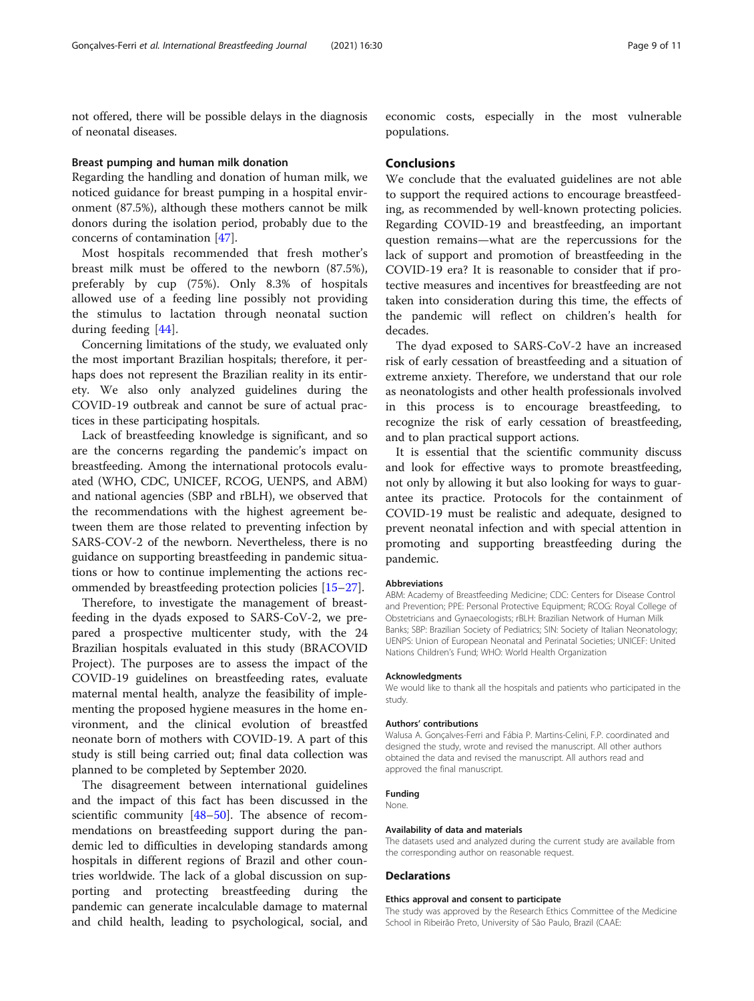not offered, there will be possible delays in the diagnosis of neonatal diseases.

#### Breast pumping and human milk donation

Regarding the handling and donation of human milk, we noticed guidance for breast pumping in a hospital environment (87.5%), although these mothers cannot be milk donors during the isolation period, probably due to the concerns of contamination [[47](#page-10-0)].

Most hospitals recommended that fresh mother's breast milk must be offered to the newborn (87.5%), preferably by cup (75%). Only 8.3% of hospitals allowed use of a feeding line possibly not providing the stimulus to lactation through neonatal suction during feeding [\[44](#page-10-0)].

Concerning limitations of the study, we evaluated only the most important Brazilian hospitals; therefore, it perhaps does not represent the Brazilian reality in its entirety. We also only analyzed guidelines during the COVID-19 outbreak and cannot be sure of actual practices in these participating hospitals.

Lack of breastfeeding knowledge is significant, and so are the concerns regarding the pandemic's impact on breastfeeding. Among the international protocols evaluated (WHO, CDC, UNICEF, RCOG, UENPS, and ABM) and national agencies (SBP and rBLH), we observed that the recommendations with the highest agreement between them are those related to preventing infection by SARS-COV-2 of the newborn. Nevertheless, there is no guidance on supporting breastfeeding in pandemic situations or how to continue implementing the actions recommended by breastfeeding protection policies [\[15](#page-9-0)–[27\]](#page-10-0).

Therefore, to investigate the management of breastfeeding in the dyads exposed to SARS-CoV-2, we prepared a prospective multicenter study, with the 24 Brazilian hospitals evaluated in this study (BRACOVID Project). The purposes are to assess the impact of the COVID-19 guidelines on breastfeeding rates, evaluate maternal mental health, analyze the feasibility of implementing the proposed hygiene measures in the home environment, and the clinical evolution of breastfed neonate born of mothers with COVID-19. A part of this study is still being carried out; final data collection was planned to be completed by September 2020.

The disagreement between international guidelines and the impact of this fact has been discussed in the scientific community [\[48](#page-10-0)–[50\]](#page-10-0). The absence of recommendations on breastfeeding support during the pandemic led to difficulties in developing standards among hospitals in different regions of Brazil and other countries worldwide. The lack of a global discussion on supporting and protecting breastfeeding during the pandemic can generate incalculable damage to maternal and child health, leading to psychological, social, and economic costs, especially in the most vulnerable populations.

#### Conclusions

We conclude that the evaluated guidelines are not able to support the required actions to encourage breastfeeding, as recommended by well-known protecting policies. Regarding COVID-19 and breastfeeding, an important question remains—what are the repercussions for the lack of support and promotion of breastfeeding in the COVID-19 era? It is reasonable to consider that if protective measures and incentives for breastfeeding are not taken into consideration during this time, the effects of the pandemic will reflect on children's health for decades.

The dyad exposed to SARS-CoV-2 have an increased risk of early cessation of breastfeeding and a situation of extreme anxiety. Therefore, we understand that our role as neonatologists and other health professionals involved in this process is to encourage breastfeeding, to recognize the risk of early cessation of breastfeeding, and to plan practical support actions.

It is essential that the scientific community discuss and look for effective ways to promote breastfeeding, not only by allowing it but also looking for ways to guarantee its practice. Protocols for the containment of COVID-19 must be realistic and adequate, designed to prevent neonatal infection and with special attention in promoting and supporting breastfeeding during the pandemic.

#### Abbreviations

ABM: Academy of Breastfeeding Medicine; CDC: Centers for Disease Control and Prevention; PPE: Personal Protective Equipment; RCOG: Royal College of Obstetricians and Gynaecologists; rBLH: Brazilian Network of Human Milk Banks; SBP: Brazilian Society of Pediatrics; SIN: Society of Italian Neonatology; UENPS: Union of European Neonatal and Perinatal Societies; UNICEF: United Nations Children's Fund; WHO: World Health Organization

#### Acknowledgments

We would like to thank all the hospitals and patients who participated in the study.

#### Authors' contributions

Walusa A. Gonçalves-Ferri and Fábia P. Martins-Celini, F.P. coordinated and designed the study, wrote and revised the manuscript. All other authors obtained the data and revised the manuscript. All authors read and approved the final manuscript.

#### Funding

None.

#### Availability of data and materials

The datasets used and analyzed during the current study are available from the corresponding author on reasonable request.

#### Declarations

#### Ethics approval and consent to participate

The study was approved by the Research Ethics Committee of the Medicine School in Ribeirão Preto, University of São Paulo, Brazil (CAAE: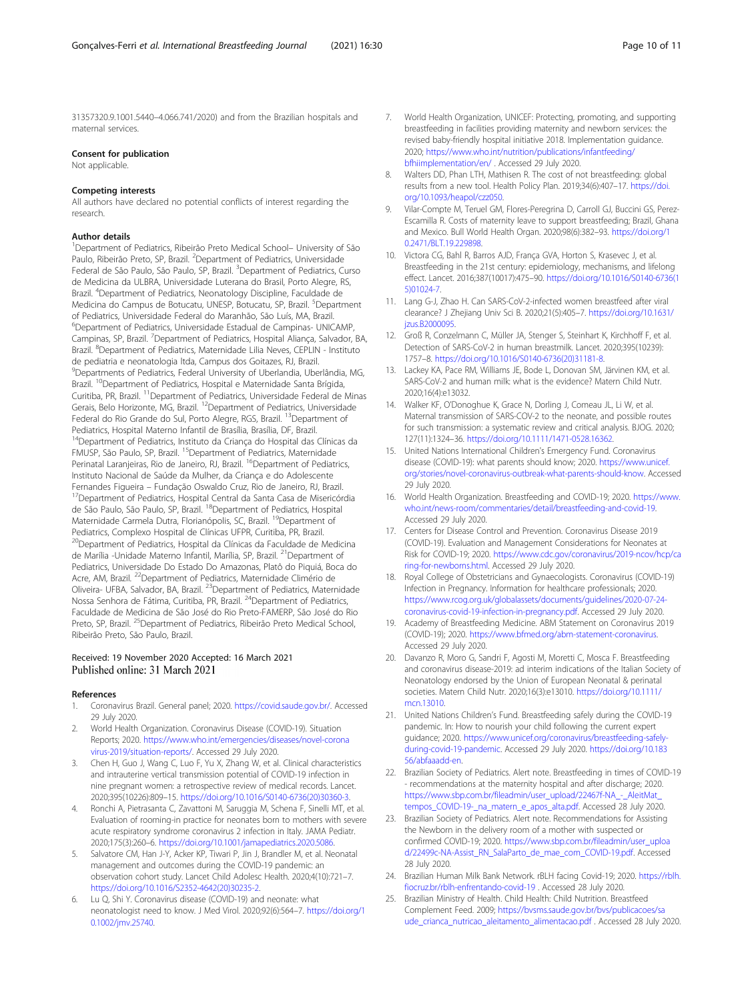<span id="page-9-0"></span>31357320.9.1001.5440–4.066.741/2020) and from the Brazilian hospitals and maternal services.

#### Consent for publication

Not applicable.

#### Competing interests

All authors have declared no potential conflicts of interest regarding the research.

#### Author details

<sup>1</sup>Department of Pediatrics, Ribeirão Preto Medical School- University of São Paulo, Ribeirão Preto, SP, Brazil. <sup>2</sup> Department of Pediatrics, Universidade Federal de São Paulo, São Paulo, SP, Brazil. <sup>3</sup>Department of Pediatrics, Curso de Medicina da ULBRA, Universidade Luterana do Brasil, Porto Alegre, RS, Brazil. <sup>4</sup> Department of Pediatrics, Neonatology Discipline, Faculdade de Medicina do Campus de Botucatu, UNESP, Botucatu, SP, Brazil. <sup>5</sup>Department of Pediatrics, Universidade Federal do Maranhão, São Luís, MA, Brazil. 6 Department of Pediatrics, Universidade Estadual de Campinas- UNICAMP, Campinas, SP, Brazil. <sup>7</sup>Department of Pediatrics, Hospital Aliança, Salvador, BA, Brazil. <sup>8</sup>Department of Pediatrics, Maternidade Lilia Neves, CEPLIN - Instituto de pediatria e neonatologia ltda, Campus dos Goitazes, RJ, Brazil. 9 Departments of Pediatrics, Federal University of Uberlandia, Uberlândia, MG, Brazil. <sup>10</sup>Department of Pediatrics, Hospital e Maternidade Santa Brígida, Curitiba, PR, Brazil. 11Department of Pediatrics, Universidade Federal de Minas Gerais, Belo Horizonte, MG, Brazil. 12Department of Pediatrics, Universidade Federal do Rio Grande do Sul, Porto Alegre, RGS, Brazil. <sup>13</sup>Department of Pediatrics, Hospital Materno Infantil de Brasília, Brasília, DF, Brazil. <sup>14</sup>Department of Pediatrics, Instituto da Criança do Hospital das Clínicas da FMUSP, São Paulo, SP, Brazil. 15Department of Pediatrics, Maternidade Perinatal Laranjeiras, Rio de Janeiro, RJ, Brazil. <sup>16</sup>Department of Pediatrics, Instituto Nacional de Saúde da Mulher, da Criança e do Adolescente Fernandes Figueira – Fundação Oswaldo Cruz, Rio de Janeiro, RJ, Brazil.<br><sup>17</sup>Department of Pediatrics, Hospital Central da Santa Casa de Misericórdia de São Paulo, São Paulo, SP, Brazil. 18Department of Pediatrics, Hospital Maternidade Carmela Dutra, Florianópolis, SC, Brazil. <sup>19</sup>Department of Pediatrics, Complexo Hospital de Clínicas UFPR, Curitiba, PR, Brazil. <sup>20</sup>Department of Pediatrics, Hospital da Clínicas da Faculdade de Medicina de Marília -Unidade Materno Infantil, Marília, SP, Brazil. <sup>21</sup>Department of Pediatrics, Universidade Do Estado Do Amazonas, Platô do Piquiá, Boca do Acre, AM, Brazil. <sup>22</sup>Department of Pediatrics, Maternidade Climério de Oliveira- UFBA, Salvador, BA, Brazil. 23Department of Pediatrics, Maternidade Nossa Senhora de Fátima, Curitiba, PR, Brazil. 24Department of Pediatrics, Faculdade de Medicina de São José do Rio Preto-FAMERP, São José do Rio Preto, SP, Brazil. <sup>25</sup>Department of Pediatrics, Ribeirão Preto Medical School, Ribeirão Preto, São Paulo, Brazil.

#### Received: 19 November 2020 Accepted: 16 March 2021 Published online: 31 March 2021

#### References

- 1. Coronavirus Brazil. General panel; 2020. [https://covid.saude.gov.br/.](https://covid.saude.gov.br/) Accessed 29 July 2020.
- 2. World Health Organization. Coronavirus Disease (COVID-19). Situation Reports; 2020. [https://www.who.int/emergencies/diseases/novel-corona](https://www.who.int/emergencies/diseases/novel-coronavirus-2019/situation-reports/) [virus-2019/situation-reports/.](https://www.who.int/emergencies/diseases/novel-coronavirus-2019/situation-reports/) Accessed 29 July 2020.
- 3. Chen H, Guo J, Wang C, Luo F, Yu X, Zhang W, et al. Clinical characteristics and intrauterine vertical transmission potential of COVID-19 infection in nine pregnant women: a retrospective review of medical records. Lancet. 2020;395(10226):809–15. [https://doi.org/10.1016/S0140-6736\(20\)30360-3.](https://doi.org/10.1016/S0140-6736(20)30360-3)
- 4. Ronchi A, Pietrasanta C, Zavattoni M, Saruggia M, Schena F, Sinelli MT, et al. Evaluation of rooming-in practice for neonates born to mothers with severe acute respiratory syndrome coronavirus 2 infection in Italy. JAMA Pediatr. 2020;175(3):260–6. <https://doi.org/10.1001/jamapediatrics.2020.5086>.
- 5. Salvatore CM, Han J-Y, Acker KP, Tiwari P, Jin J, Brandler M, et al. Neonatal management and outcomes during the COVID-19 pandemic: an observation cohort study. Lancet Child Adolesc Health. 2020;4(10):721–7. [https://doi.org/10.1016/S2352-4642\(20\)30235-2.](https://doi.org/10.1016/S2352-4642(20)30235-2)
- 6. Lu Q, Shi Y. Coronavirus disease (COVID-19) and neonate: what neonatologist need to know. J Med Virol. 2020;92(6):564–7. [https://doi.org/1](https://doi.org/10.1002/jmv.25740) [0.1002/jmv.25740](https://doi.org/10.1002/jmv.25740).
- 7. World Health Organization, UNICEF: Protecting, promoting, and supporting breastfeeding in facilities providing maternity and newborn services: the revised baby-friendly hospital initiative 2018. Implementation guidance. 2020; [https://www.who.int/nutrition/publications/infantfeeding/](https://www.who.int/nutrition/publications/infantfeeding/bfhiimplementation/en/) [bfhiimplementation/en/](https://www.who.int/nutrition/publications/infantfeeding/bfhiimplementation/en/) . Accessed 29 July 2020.
- 8. Walters DD, Phan LTH, Mathisen R. The cost of not breastfeeding: global results from a new tool. Health Policy Plan. 2019;34(6):407–17. [https://doi.](https://doi.org/10.1093/heapol/czz050) [org/10.1093/heapol/czz050.](https://doi.org/10.1093/heapol/czz050)
- 9. Vilar-Compte M, Teruel GM, Flores-Peregrina D, Carroll GJ, Buccini GS, Perez-Escamilla R. Costs of maternity leave to support breastfeeding; Brazil, Ghana and Mexico. Bull World Health Organ. 2020;98(6):382–93. [https://doi.org/1](https://doi.org/10.2471/BLT.19.229898) [0.2471/BLT.19.229898](https://doi.org/10.2471/BLT.19.229898).
- 10. Victora CG, Bahl R, Barros AJD, França GVA, Horton S, Krasevec J, et al. Breastfeeding in the 21st century: epidemiology, mechanisms, and lifelong effect. Lancet. 2016;387(10017):475–90. [https://doi.org/10.1016/S0140-6736\(1](https://doi.org/10.1016/S0140-6736(15)01024-7) [5\)01024-7.](https://doi.org/10.1016/S0140-6736(15)01024-7)
- 11. Lang G-J, Zhao H. Can SARS-CoV-2-infected women breastfeed after viral clearance? J Zhejiang Univ Sci B. 2020;21(5):405–7. [https://doi.org/10.1631/](https://doi.org/10.1631/jzus.B2000095) [jzus.B2000095.](https://doi.org/10.1631/jzus.B2000095)
- 12. Groß R, Conzelmann C, Müller JA, Stenger S, Steinhart K, Kirchhoff F, et al. Detection of SARS-CoV-2 in human breastmilk. Lancet. 2020;395(10239): 1757–8. [https://doi.org/10.1016/S0140-6736\(20\)31181-8.](https://doi.org/10.1016/S0140-6736(20)31181-8)
- 13. Lackey KA, Pace RM, Williams JE, Bode L, Donovan SM, Järvinen KM, et al. SARS-CoV-2 and human milk: what is the evidence? Matern Child Nutr. 2020;16(4):e13032.
- 14. Walker KF, O'Donoghue K, Grace N, Dorling J, Comeau JL, Li W, et al. Maternal transmission of SARS-COV-2 to the neonate, and possible routes for such transmission: a systematic review and critical analysis. BJOG. 2020; 127(11):1324–36. [https://doi.org/10.1111/1471-0528.16362.](https://doi.org/10.1111/1471-0528.16362)
- 15. United Nations International Children's Emergency Fund. Coronavirus disease (COVID-19): what parents should know; 2020. [https://www.unicef.](https://www.unicef.org/stories/novel-coronavirus-outbreak-what-parents-should-know) [org/stories/novel-coronavirus-outbreak-what-parents-should-know.](https://www.unicef.org/stories/novel-coronavirus-outbreak-what-parents-should-know) Accessed 29 July 2020.
- 16. World Health Organization. Breastfeeding and COVID-19; 2020. [https://www.](https://www.who.int/news-room/commentaries/detail/breastfeeding-and-covid-19) [who.int/news-room/commentaries/detail/breastfeeding-and-covid-19.](https://www.who.int/news-room/commentaries/detail/breastfeeding-and-covid-19) Accessed 29 July 2020.
- 17. Centers for Disease Control and Prevention. Coronavirus Disease 2019 (COVID-19). Evaluation and Management Considerations for Neonates at Risk for COVID-19; 2020. [https://www.cdc.gov/coronavirus/2019-ncov/hcp/ca](https://www.cdc.gov/coronavirus/2019-ncov/hcp/caring-for-newborns.html) [ring-for-newborns.html.](https://www.cdc.gov/coronavirus/2019-ncov/hcp/caring-for-newborns.html) Accessed 29 July 2020.
- 18. Royal College of Obstetricians and Gynaecologists. Coronavirus (COVID-19) Infection in Pregnancy. Information for healthcare professionals; 2020. [https://www.rcog.org.uk/globalassets/documents/guidelines/2020-07-24](https://www.rcog.org.uk/globalassets/documents/guidelines/2020-07-24-coronavirus-covid-19-infection-in-pregnancy.pdf) [coronavirus-covid-19-infection-in-pregnancy.pdf](https://www.rcog.org.uk/globalassets/documents/guidelines/2020-07-24-coronavirus-covid-19-infection-in-pregnancy.pdf). Accessed 29 July 2020.
- 19. Academy of Breastfeeding Medicine. ABM Statement on Coronavirus 2019 (COVID-19); 2020. [https://www.bfmed.org/abm-statement-coronavirus.](https://www.bfmed.org/abm-statement-coronavirus) Accessed 29 July 2020.
- 20. Davanzo R, Moro G, Sandri F, Agosti M, Moretti C, Mosca F. Breastfeeding and coronavirus disease-2019: ad interim indications of the Italian Society of Neonatology endorsed by the Union of European Neonatal & perinatal societies. Matern Child Nutr. 2020;16(3):e13010. [https://doi.org/10.1111/](https://doi.org/10.1111/mcn.13010) [mcn.13010.](https://doi.org/10.1111/mcn.13010)
- 21. United Nations Children's Fund. Breastfeeding safely during the COVID-19 pandemic. In: How to nourish your child following the current expert guidance; 2020. [https://www.unicef.org/coronavirus/breastfeeding-safely](https://www.unicef.org/coronavirus/breastfeeding-safely-during-covid-19-pandemic)[during-covid-19-pandemic](https://www.unicef.org/coronavirus/breastfeeding-safely-during-covid-19-pandemic). Accessed 29 July 2020. [https://doi.org/10.183](https://doi.org/10.18356/abfaaadd-en) [56/abfaaadd-en](https://doi.org/10.18356/abfaaadd-en).
- 22. Brazilian Society of Pediatrics. Alert note. Breastfeeding in times of COVID-19 - recommendations at the maternity hospital and after discharge; 2020. [https://www.sbp.com.br/fileadmin/user\\_upload/22467f-NA\\_-\\_AleitMat\\_](https://www.sbp.com.br/fileadmin/user_upload/22467f-NA_-_AleitMat_tempos_COVID-19-_na_matern_e_apos_alta.pdf) [tempos\\_COVID-19-\\_na\\_matern\\_e\\_apos\\_alta.pdf](https://www.sbp.com.br/fileadmin/user_upload/22467f-NA_-_AleitMat_tempos_COVID-19-_na_matern_e_apos_alta.pdf). Accessed 28 July 2020.
- 23. Brazilian Society of Pediatrics. Alert note. Recommendations for Assisting the Newborn in the delivery room of a mother with suspected or confirmed COVID-19; 2020. [https://www.sbp.com.br/fileadmin/user\\_uploa](https://www.sbp.com.br/fileadmin/user_upload/22499c-NA-Assist_RN_SalaParto_de_mae_com_COVID-19.pdf) [d/22499c-NA-Assist\\_RN\\_SalaParto\\_de\\_mae\\_com\\_COVID-19.pdf](https://www.sbp.com.br/fileadmin/user_upload/22499c-NA-Assist_RN_SalaParto_de_mae_com_COVID-19.pdf). Accessed 28 July 2020.
- 24. Brazilian Human Milk Bank Network. rBLH facing Covid-19; 2020. [https://rblh.](https://rblh.fiocruz.br/rblh-enfrentando-covid-19) [fiocruz.br/rblh-enfrentando-covid-19](https://rblh.fiocruz.br/rblh-enfrentando-covid-19) . Accessed 28 July 2020.
- 25. Brazilian Ministry of Health. Child Health: Child Nutrition. Breastfeed Complement Feed. 2009; [https://bvsms.saude.gov.br/bvs/publicacoes/sa](https://bvsms.saude.gov.br/bvs/publicacoes/saude_crianca_nutricao_aleitamento_alimentacao.pdf) [ude\\_crianca\\_nutricao\\_aleitamento\\_alimentacao.pdf](https://bvsms.saude.gov.br/bvs/publicacoes/saude_crianca_nutricao_aleitamento_alimentacao.pdf) . Accessed 28 July 2020.